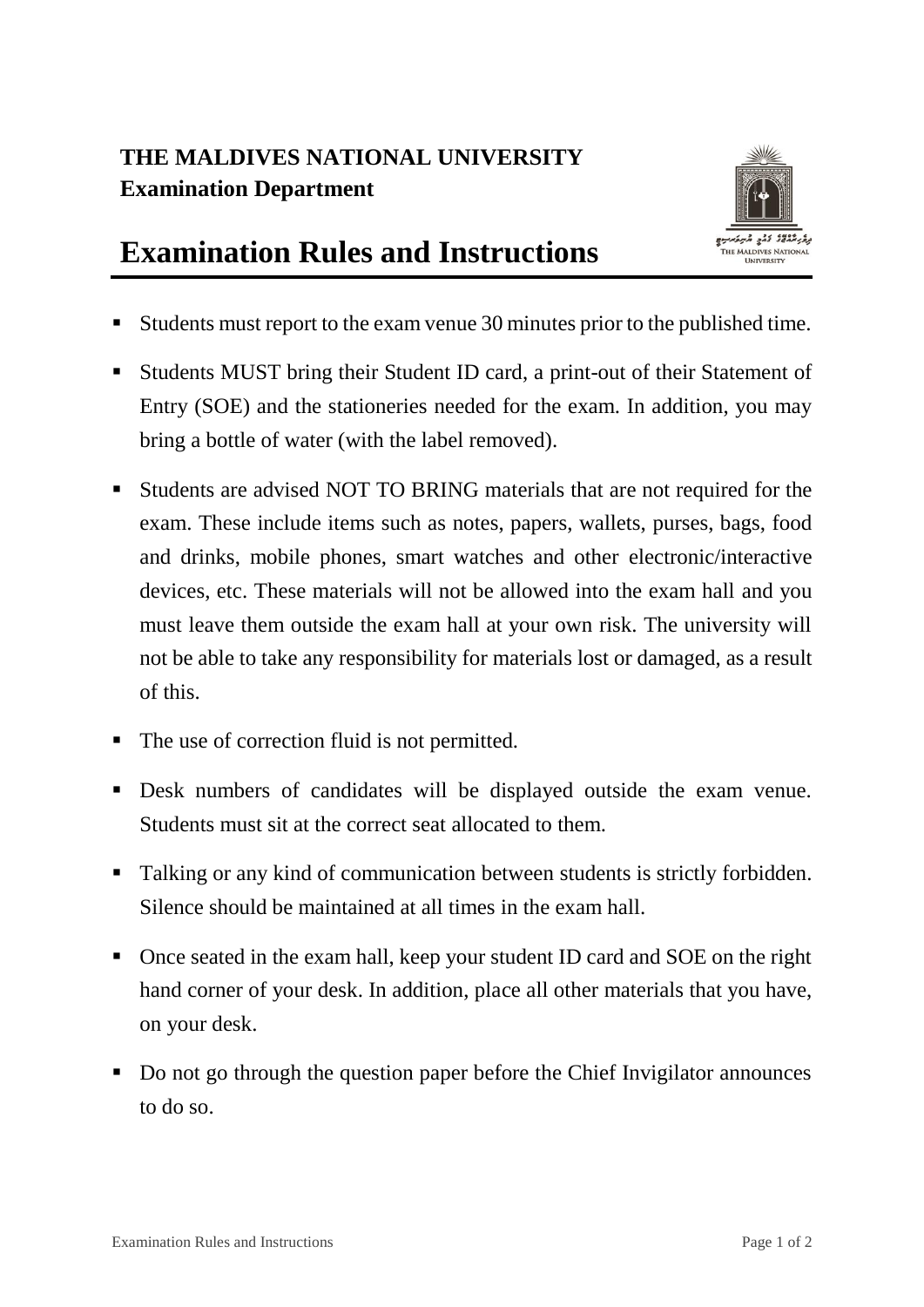## **THE MALDIVES NATIONAL UNIVERSITY Examination Department**



## **Examination Rules and Instructions**

- Students must report to the exam venue 30 minutes prior to the published time.
- Students MUST bring their Student ID card, a print-out of their Statement of Entry (SOE) and the stationeries needed for the exam. In addition, you may bring a bottle of water (with the label removed).
- Students are advised NOT TO BRING materials that are not required for the exam. These include items such as notes, papers, wallets, purses, bags, food and drinks, mobile phones, smart watches and other electronic/interactive devices, etc. These materials will not be allowed into the exam hall and you must leave them outside the exam hall at your own risk. The university will not be able to take any responsibility for materials lost or damaged, as a result of this.
- The use of correction fluid is not permitted.
- Desk numbers of candidates will be displayed outside the exam venue. Students must sit at the correct seat allocated to them.
- Talking or any kind of communication between students is strictly forbidden. Silence should be maintained at all times in the exam hall.
- Once seated in the exam hall, keep your student ID card and SOE on the right hand corner of your desk. In addition, place all other materials that you have, on your desk.
- Do not go through the question paper before the Chief Invigilator announces to do so.